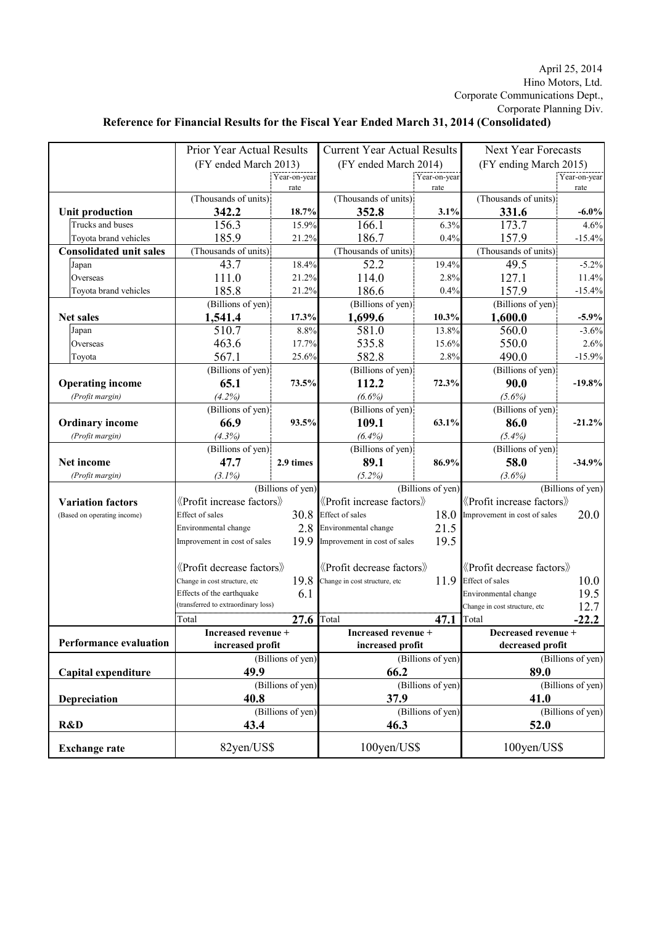## Hino Motors, Ltd. April 25, 2014 Corporate Communications Dept., Corporate Planning Div.

## **Reference for Financial Results for the Fiscal Year Ended March 31, 2014 (Consolidated)**

|                                | Prior Year Actual Results                   |              | <b>Current Year Actual Results</b>                                          |              | <b>Next Year Forecasts</b>                  |              |
|--------------------------------|---------------------------------------------|--------------|-----------------------------------------------------------------------------|--------------|---------------------------------------------|--------------|
|                                | (FY ended March 2013)                       |              | (FY ended March 2014)                                                       |              | (FY ending March 2015)                      |              |
|                                |                                             | Year-on-year |                                                                             | Year-on-year |                                             | Year-on-year |
|                                |                                             | rate         |                                                                             | rate         |                                             | rate         |
|                                | (Thousands of units)                        |              | (Thousands of units)                                                        |              | (Thousands of units)                        |              |
| <b>Unit production</b>         | 342.2                                       | 18.7%        | 352.8                                                                       | 3.1%         | 331.6                                       | $-6.0\%$     |
| Trucks and buses               | 156.3                                       | 15.9%        | 166.1                                                                       | 6.3%         | 173.7                                       | 4.6%         |
| Toyota brand vehicles          | 185.9                                       | 21.2%        | 186.7                                                                       | 0.4%         | 157.9                                       | $-15.4%$     |
| <b>Consolidated unit sales</b> | (Thousands of units)                        |              | (Thousands of units)                                                        |              | (Thousands of units)                        |              |
| Japan                          | 43.7                                        | 18.4%        | 52.2                                                                        | 19.4%        | 49.5                                        | $-5.2%$      |
| Overseas                       | 111.0                                       | 21.2%        | 114.0                                                                       | 2.8%         | 127.1                                       | 11.4%        |
| Toyota brand vehicles          | 185.8                                       | 21.2%        | 186.6                                                                       | 0.4%         | 157.9                                       | $-15.4%$     |
|                                | (Billions of yen)                           |              | (Billions of yen)                                                           |              | (Billions of yen)                           |              |
| <b>Net sales</b>               | 1,541.4                                     | 17.3%        | 1,699.6                                                                     | 10.3%        | 1,600.0                                     | $-5.9%$      |
| Japan                          | 510.7                                       | 8.8%         | 581.0                                                                       | 13.8%        | 560.0                                       | $-3.6%$      |
| Overseas                       | 463.6                                       | 17.7%        | 535.8                                                                       | 15.6%        | 550.0                                       | 2.6%         |
| Toyota                         | 567.1                                       | 25.6%        | 582.8                                                                       | 2.8%         | 490.0                                       | $-15.9%$     |
|                                | (Billions of yen)                           |              | (Billions of yen)                                                           |              | (Billions of yen)                           |              |
| <b>Operating income</b>        | 65.1                                        | 73.5%        | 112.2                                                                       | 72.3%        | 90.0                                        | $-19.8%$     |
| (Profit margin)                | (4.2%)                                      |              | $(6.6\%)$                                                                   |              | $(5.6\%)$                                   |              |
|                                | (Billions of yen)                           |              | (Billions of yen)                                                           |              | (Billions of yen)                           |              |
| <b>Ordinary income</b>         | 66.9                                        | 93.5%        | 109.1                                                                       | 63.1%        | 86.0                                        | $-21.2%$     |
| (Profit margin)                | (4.3%)                                      |              | (6.4%)                                                                      |              | $(5.4\%)$                                   |              |
|                                | (Billions of yen)                           |              | (Billions of yen)                                                           |              | (Billions of yen)                           |              |
| Net income                     | 47.7                                        | 2.9 times    | 89.1                                                                        | 86.9%        | 58.0                                        | $-34.9%$     |
| (Profit margin)                | $(3.1\%)$                                   |              | (5.2%)                                                                      |              | $(3.6\%)$                                   |              |
|                                | (Billions of yen)                           |              | (Billions of yen)                                                           |              | (Billions of yen)                           |              |
| <b>Variation factors</b>       | $\langle$ Profit increase factors $\rangle$ |              | «Profit increase factors»                                                   |              | $\langle$ Profit increase factors $\rangle$ |              |
| (Based on operating income)    | <b>Effect</b> of sales                      | 30.8         | <b>Effect</b> of sales<br>18.0                                              |              | Improvement in cost of sales                | 20.0         |
|                                | Environmental change                        | 2.8          | Environmental change                                                        | 21.5         |                                             |              |
|                                | Improvement in cost of sales                | 19.9         | Improvement in cost of sales                                                | 19.5         |                                             |              |
|                                |                                             |              |                                                                             |              |                                             |              |
|                                | «Profit decrease factors»                   |              | <b><i><u></u></i></b> <i><u>Profit</u></i> decrease factors <b><i>x</i></b> |              | «Profit decrease factors»                   |              |
|                                | Change in cost structure, etc               | 19.8         | Change in cost structure, etc                                               | 11.9         | <b>Effect</b> of sales                      | 10.0         |
|                                | Effects of the earthquake                   | 6.1          |                                                                             |              | Environmental change                        | 19.5         |
|                                | (transferred to extraordinary loss)         |              |                                                                             |              | Change in cost structure, etc               | 12.7         |
|                                | Total                                       | 27.6         | Total                                                                       | 47.1         | Total                                       | $-22.2$      |
|                                | Increased revenue +                         |              | Increased revenue +                                                         |              | Decreased revenue +                         |              |
| <b>Performance evaluation</b>  | increased profit                            |              | increased profit                                                            |              | decreased profit                            |              |
|                                | (Billions of yen)                           |              | (Billions of yen)                                                           |              | (Billions of yen)                           |              |
| Capital expenditure            | 49.9                                        |              | 66.2                                                                        |              | 89.0                                        |              |
|                                | (Billions of yen)                           |              | (Billions of yen)                                                           |              | (Billions of yen)                           |              |
| Depreciation                   | 40.8                                        |              | 37.9                                                                        |              | 41.0                                        |              |
|                                | (Billions of yen)                           |              | (Billions of yen)                                                           |              | (Billions of yen)                           |              |
| R&D                            | 43.4                                        |              | 46.3                                                                        |              | 52.0                                        |              |
|                                |                                             |              |                                                                             |              |                                             |              |
| <b>Exchange rate</b>           | 82yen/US\$                                  |              | 100yen/US\$                                                                 |              | 100yen/US\$                                 |              |